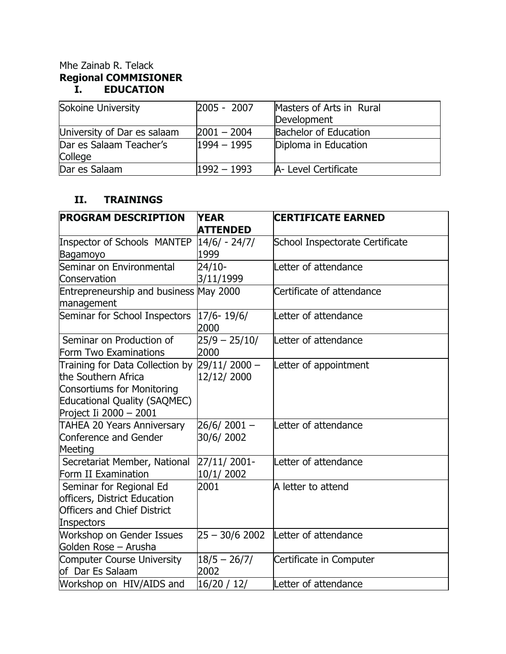## Mhe Zainab R. Telack **Regional COMMISIONER I. EDUCATION**

| Sokoine University          | $ 2005 - 2007 $ | Masters of Arts in Rural<br>Development |  |
|-----------------------------|-----------------|-----------------------------------------|--|
| University of Dar es salaam | $2001 - 2004$   | <b>Bachelor of Education</b>            |  |
| Dar es Salaam Teacher's     | $1994 - 1995$   | Diploma in Education                    |  |
| College                     |                 |                                         |  |
| Dar es Salaam               | $1992 - 1993$   | A- Level Certificate                    |  |

## **II. TRAININGS**

| <b>PROGRAM DESCRIPTION</b>                                                                                                                                   | <b>YEAR</b><br><b>ATTENDED</b> | <b>CERTIFICATE EARNED</b>       |  |
|--------------------------------------------------------------------------------------------------------------------------------------------------------------|--------------------------------|---------------------------------|--|
| <b>Inspector of Schools MANTEP</b><br>Bagamoyo                                                                                                               | 14/6/ - 24/7/<br>1999          | School Inspectorate Certificate |  |
| Seminar on Environmental<br>Conservation                                                                                                                     | 24/10-<br>3/11/1999            | Letter of attendance            |  |
| Entrepreneurship and business<br>management                                                                                                                  | <b>May 2000</b>                | Certificate of attendance       |  |
| Seminar for School Inspectors                                                                                                                                | $17/6 - 19/6/$<br>2000         | Letter of attendance            |  |
| Seminar on Production of<br>Form Two Examinations                                                                                                            | $25/9 - 25/10/$<br>2000        | Letter of attendance            |  |
| Training for Data Collection by<br>the Southern Africa<br><b>Consortiums for Monitoring</b><br><b>Educational Quality (SAQMEC)</b><br>Project Ii 2000 - 2001 | $29/11/2000 -$<br>12/12/2000   | Letter of appointment           |  |
| <b>TAHEA 20 Years Anniversary</b><br>Conference and Gender<br>Meeting                                                                                        | $26/6/2001 -$<br>30/6/2002     | Letter of attendance            |  |
| Secretariat Member, National<br>Form II Examination                                                                                                          | 27/11/2001-<br>10/1/2002       | Letter of attendance            |  |
| Seminar for Regional Ed<br>officers, District Education<br><b>Officers and Chief District</b><br>Inspectors                                                  | 2001                           | A letter to attend              |  |
| <b>Workshop on Gender Issues</b><br>Golden Rose - Arusha                                                                                                     | $25 - 30/6$ 2002               | Letter of attendance            |  |
| <b>Computer Course University</b><br>of Dar Es Salaam                                                                                                        | $18/5 - 26/7/$<br>2002         | Certificate in Computer         |  |
| Workshop on HIV/AIDS and                                                                                                                                     | 16/20 / 12/                    | Letter of attendance            |  |